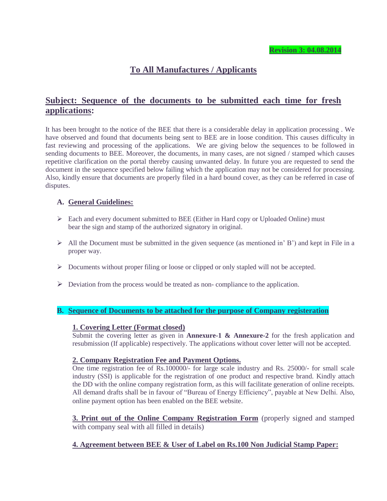# **To All Manufactures / Applicants**

# **Subject: Sequence of the documents to be submitted each time for fresh applications:**

It has been brought to the notice of the BEE that there is a considerable delay in application processing . We have observed and found that documents being sent to BEE are in loose condition. This causes difficulty in fast reviewing and processing of the applications. We are giving below the sequences to be followed in sending documents to BEE. Moreover, the documents, in many cases, are not signed / stamped which causes repetitive clarification on the portal thereby causing unwanted delay. In future you are requested to send the document in the sequence specified below failing which the application may not be considered for processing. Also, kindly ensure that documents are properly filed in a hard bound cover, as they can be referred in case of disputes.

# **A. General Guidelines:**

- Each and every document submitted to BEE (Either in Hard copy or Uploaded Online) must bear the sign and stamp of the authorized signatory in original.
- $\triangleright$  All the Document must be submitted in the given sequence (as mentioned in' B') and kept in File in a proper way.
- $\triangleright$  Documents without proper filing or loose or clipped or only stapled will not be accepted.
- $\triangleright$  Deviation from the process would be treated as non- compliance to the application.

# **B. Sequence of Documents to be attached for the purpose of Company registeration**

### **1. Covering Letter (Format closed)**

Submit the covering letter as given in **Annexure-1 & Annexure-2** for the fresh application and resubmission (If applicable) respectively. The applications without cover letter will not be accepted.

# **2. Company Registration Fee and Payment Options.**

One time registration fee of Rs.100000/- for large scale industry and Rs. 25000/- for small scale industry (SSI) is applicable for the registration of one product and respective brand. Kindly attach the DD with the online company registration form, as this will facilitate generation of online receipts. All demand drafts shall be in favour of "Bureau of Energy Efficiency", payable at New Delhi. Also, online payment option has been enabled on the BEE website.

**3. Print out of the Online Company Registration Form** (properly signed and stamped with company seal with all filled in details)

# **4. Agreement between BEE & User of Label on Rs.100 Non Judicial Stamp Paper:**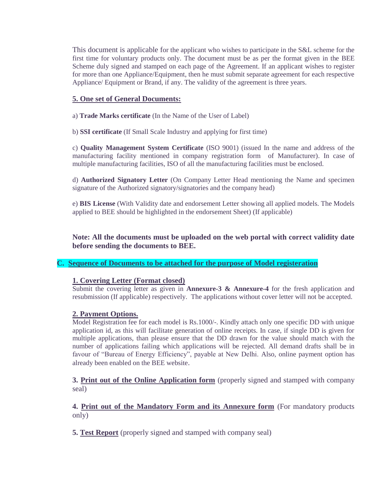This document is applicable for the applicant who wishes to participate in the S&L scheme for the first time for voluntary products only. The document must be as per the format given in the BEE Scheme duly signed and stamped on each page of the Agreement. If an applicant wishes to register for more than one Appliance/Equipment, then he must submit separate agreement for each respective Appliance/ Equipment or Brand, if any. The validity of the agreement is three years.

# **5. One set of General Documents:**

a) **Trade Marks certificate** (In the Name of the User of Label)

b) **SSI certificate** (If Small Scale Industry and applying for first time)

c) **Quality Management System Certificate** (ISO 9001) (issued In the name and address of the manufacturing facility mentioned in company registration form of Manufacturer). In case of multiple manufacturing facilities, ISO of all the manufacturing facilities must be enclosed.

d) **Authorized Signatory Letter** (On Company Letter Head mentioning the Name and specimen signature of the Authorized signatory/signatories and the company head)

e) **BIS License** (With Validity date and endorsement Letter showing all applied models. The Models applied to BEE should be highlighted in the endorsement Sheet) (If applicable)

**Note: All the documents must be uploaded on the web portal with correct validity date before sending the documents to BEE.** 

# **C. Sequence of Documents to be attached for the purpose of Model registeration**

# **1. Covering Letter (Format closed)**

Submit the covering letter as given in **Annexure-3 & Annexure-4** for the fresh application and resubmission (If applicable) respectively. The applications without cover letter will not be accepted.

# **2. Payment Options.**

Model Registration fee for each model is Rs.1000/-. Kindly attach only one specific DD with unique application id, as this will facilitate generation of online receipts. In case, if single DD is given for multiple applications, than please ensure that the DD drawn for the value should match with the number of applications failing which applications will be rejected. All demand drafts shall be in favour of "Bureau of Energy Efficiency", payable at New Delhi. Also, online payment option has already been enabled on the BEE website.

**3. Print out of the Online Application form** (properly signed and stamped with company seal)

**4. Print out of the Mandatory Form and its Annexure form** (For mandatory products only)

**5. Test Report** (properly signed and stamped with company seal)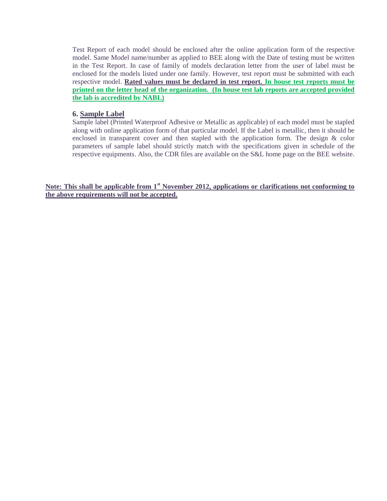Test Report of each model should be enclosed after the online application form of the respective model. Same Model name/number as applied to BEE along with the Date of testing must be written in the Test Report. In case of family of models declaration letter from the user of label must be enclosed for the models listed under one family. However, test report must be submitted with each respective model. **Rated values must be declared in test report. In house test reports must be printed on the letter head of the organization. (In house test lab reports are accepted provided the lab is accredited by NABL)**

### **6. Sample Label**

Sample label (Printed Waterproof Adhesive or Metallic as applicable) of each model must be stapled along with online application form of that particular model. If the Label is metallic, then it should be enclosed in transparent cover and then stapled with the application form. The design & color parameters of sample label should strictly match with the specifications given in schedule of the respective equipments. Also, the CDR files are available on the S&L home page on the BEE website.

**Note: This shall be applicable from 1st November 2012, applications or clarifications not conforming to the above requirements will not be accepted.**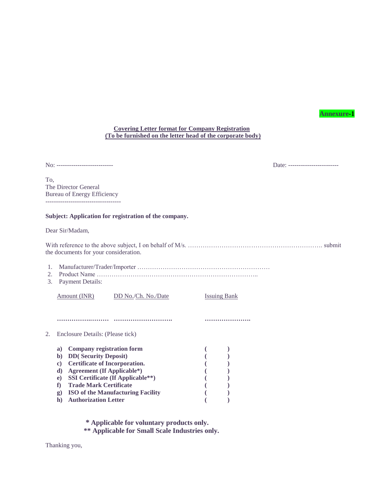#### **Annexure-1**

### **Covering Letter format for Company Registration (To be furnished on the letter head of the corporate body)**

No: --------------------------- Date: ------------------------

To, The Director General Bureau of Energy Efficiency ------------------------------------

### **Subject: Application for registration of the company.**

Dear Sir/Madam,

| the documents for your consideration. |  |
|---------------------------------------|--|

| 2. | <b>Product Name</b>                         |                                          |                     |  |
|----|---------------------------------------------|------------------------------------------|---------------------|--|
| 3. | <b>Payment Details:</b>                     |                                          |                     |  |
|    | Amount (INR)                                | DD No./Ch. No./Date                      | <b>Issuing Bank</b> |  |
|    |                                             |                                          |                     |  |
|    | Enclosure Details: (Please tick)            |                                          |                     |  |
|    | a)                                          | <b>Company registration form</b>         |                     |  |
|    | <b>DD</b> (Security Deposit)<br>b)          |                                          |                     |  |
|    | $\bf c)$                                    | <b>Certificate of Incorporation.</b>     |                     |  |
|    | d)                                          | <b>Agreement (If Applicable*)</b>        |                     |  |
|    | e)                                          | <b>SSI Certificate (If Applicable**)</b> |                     |  |
|    | f)<br><b>Trade Mark Certificate</b>         |                                          |                     |  |
|    | $\mathbf{g}$                                | <b>ISO</b> of the Manufacturing Facility |                     |  |
|    | <b>Authorization Letter</b><br>$\mathbf{h}$ |                                          |                     |  |

**\* Applicable for voluntary products only.** 

**\*\* Applicable for Small Scale Industries only.** 

Thanking you,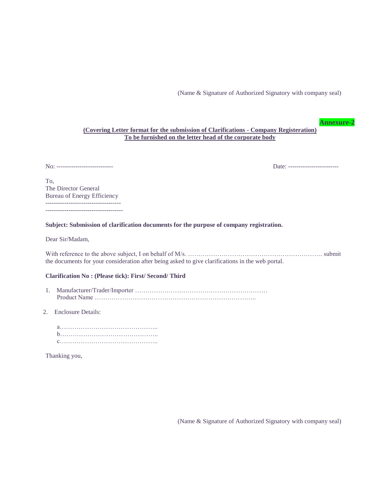(Name & Signature of Authorized Signatory with company seal)

**Annexure-2**

### **(Covering Letter format for the submission of Clarifications - Company Registeration) To be furnished on the letter head of the corporate body**

No: --------------------------- Date: ------------------------

To, The Director General Bureau of Energy Efficiency ------------------------------------ -------------------------------------

**Subject: Submission of clarification documents for the purpose of company registration.** 

Dear Sir/Madam,

With reference to the above subject, I on behalf of M/s. ………………………………………………………. submit the documents for your consideration after being asked to give clarifications in the web portal.

#### **Clarification No : (Please tick): First/ Second/ Third**

- 1. Manufacturer/Trader/Importer ……………………………………………………… Product Name …………………………………………………………………..
- 2. Enclosure Details:

Thanking you,

(Name & Signature of Authorized Signatory with company seal)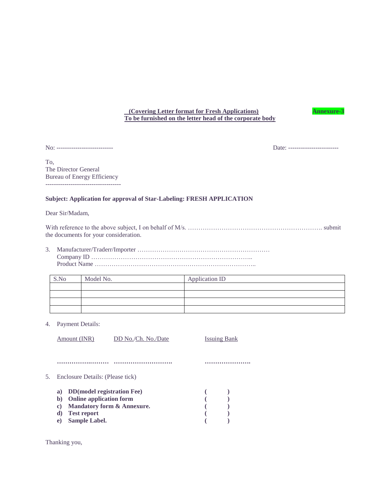### **(Covering Letter format for Fresh Applications) Annexure-3 To be furnished on the letter head of the corporate body**

No: --------------------------- Date: ------------------------

To, The Director General Bureau of Energy Efficiency ------------------------------------

### **Subject: Application for approval of Star-Labeling: FRESH APPLICATION**

Dear Sir/Madam,

With reference to the above subject, I on behalf of M/s. ………………………………………………………. submit the documents for your consideration.

3. Manufacturer/Traderr/Importer ……………………………………………………… Company ID ………………………………………………………………….. Product Name …………………………………………………………………..

| S.No | Model No. | Application ID |
|------|-----------|----------------|
|      |           |                |
|      |           |                |
|      |           |                |
|      |           |                |

4. Payment Details:

|    | Amount (INR)                             | DD No./Ch. No./Date                   | Issuing Bank |  |
|----|------------------------------------------|---------------------------------------|--------------|--|
|    |                                          |                                       |              |  |
|    |                                          |                                       |              |  |
| 5. | Enclosure Details: (Please tick)         |                                       |              |  |
|    | <b>DD</b> (model registration Fee)<br>a) |                                       |              |  |
|    | <b>Online application form</b><br>b)     |                                       |              |  |
|    | C)                                       | <b>Mandatory form &amp; Annexure.</b> |              |  |
|    | <b>Test report</b><br>d)                 |                                       |              |  |
|    | Sample Label.<br>e)                      |                                       |              |  |
|    |                                          |                                       |              |  |

Thanking you,